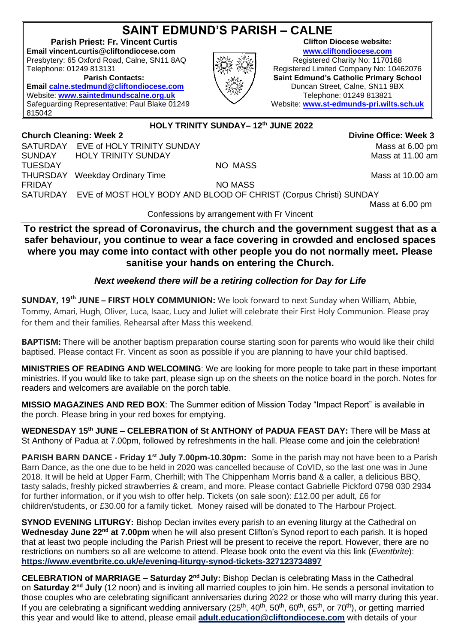# **SAINT EDMUND'S PARISH – CALNE**

**Parish Priest: Fr. Vincent Curtis Email vincent.curtis@cliftondiocese.com [www.cliftondiocese.com](http://www.cliftondiocese.com/)** Presbytery: 65 Oxford Road, Calne, SN11 8AQ Registered Charity No: 1170168

**Email [calne.stedmund@cliftondiocese.com](mailto:calne.stedmund@cliftondiocese.com) \ SQE / Duncan Street, Calne, SN11 9BX** Website: **[www.saintedmundscalne.org.uk](http://www.saintedmundscalne.org.uk/) Netwister School Telephone: 01249 813821** Safeguarding Representative: Paul Blake 01249 815042

## **HOLY TRINITY SUNDAY– 12th JUNE 2022**

**Church Cleaning: Week 2** Divine Office: Week 3 SATURDAY EVE of HOLY TRINITY SUNDAY MASS at 6.00 pm SUNDAY HOLY TRINITY SUNDAY MASS AT 11.00 am TUESDAY NO MASS THURSDAY Weekday Ordinary Time **Mass at 10.00 am** FRIDAY NO MASS SATURDAY EVE of MOST HOLY BODY AND BLOOD OF CHRIST (Corpus Christi) SUNDAY

Mass at 6.00 pm

Confessions by arrangement with Fr Vincent

**To restrict the spread of Coronavirus, the church and the government suggest that as a safer behaviour, you continue to wear a face covering in crowded and enclosed spaces where you may come into contact with other people you do not normally meet. Please sanitise your hands on entering the Church.**

### *Next weekend there will be a retiring collection for Day for Life*

**SUNDAY, 19th JUNE – FIRST HOLY COMMUNION:** We look forward to next Sunday when William, Abbie, Tommy, Amari, Hugh, Oliver, Luca, Isaac, Lucy and Juliet will celebrate their First Holy Communion. Please pray for them and their families. Rehearsal after Mass this weekend.

**BAPTISM:** There will be another baptism preparation course starting soon for parents who would like their child baptised. Please contact Fr. Vincent as soon as possible if you are planning to have your child baptised.

**MINISTRIES OF READING AND WELCOMING**: We are looking for more people to take part in these important ministries. If you would like to take part, please sign up on the sheets on the notice board in the porch. Notes for readers and welcomers are available on the porch table.

**MISSIO MAGAZINES AND RED BOX**: The Summer edition of Mission Today "Impact Report" is available in the porch. Please bring in your red boxes for emptying.

**WEDNESDAY 15th JUNE – CELEBRATION of St ANTHONY of PADUA FEAST DAY:** There will be Mass at St Anthony of Padua at 7.00pm, followed by refreshments in the hall. Please come and join the celebration!

**PARISH BARN DANCE - Friday 1st July 7.00pm-10.30pm:** Some in the parish may not have been to a Parish Barn Dance, as the one due to be held in 2020 was cancelled because of CoVID, so the last one was in June 2018. It will be held at Upper Farm, Cherhill; with The Chippenham Morris band & a caller, a delicious BBQ, tasty salads, freshly picked strawberries & cream, and more. Please contact Gabrielle Pickford 0798 030 2934 for further information, or if you wish to offer help. Tickets (on sale soon): £12.00 per adult, £6 for children/students, or £30.00 for a family ticket. Money raised will be donated to The Harbour Project.

**SYNOD EVENING LITURGY:** Bishop Declan invites every parish to an evening liturgy at the Cathedral on **Wednesday June 22nd at 7.00pm** when he will also present Clifton's Synod report to each parish. It is hoped that at least two people including the Parish Priest will be present to receive the report. However, there are no restrictions on numbers so all are welcome to attend. Please book onto the event via this link (*Eventbrite*): **[https://www.eventbrite.co.uk/e/evening-liturgy-synod-tickets-327123734897](https://eur02.safelinks.protection.outlook.com/?url=https%3A%2F%2Fwww.eventbrite.co.uk%2Fe%2Fevening-liturgy-synod-tickets-327123734897&data=05%7C01%7Cvincent.curtis%40cliftondiocese.com%7C0544ae0349ef40b424ac08da275a5770%7Cf10b8f13604e4fa29e1204a7fad22e94%7C0%7C0%7C637865566213704703%7CUnknown%7CTWFpbGZsb3d8eyJWIjoiMC4wLjAwMDAiLCJQIjoiV2luMzIiLCJBTiI6Ik1haWwiLCJXVCI6Mn0%3D%7C3000%7C%7C%7C&sdata=W6IgiEx5Z0vVsaSLIEagXQBAOFGQCvSyB5IGE4NGuNg%3D&reserved=0)**

**CELEBRATION of MARRIAGE – Saturday 2 nd July:** Bishop Declan is celebrating Mass in the Cathedral on Saturday 2<sup>nd</sup> July (12 noon) and is inviting all married couples to join him. He sends a personal invitation to those couples who are celebrating significant anniversaries during 2022 or those who will marry during this year. If you are celebrating a significant wedding anniversary ( $25<sup>th</sup>$ ,  $40<sup>th</sup>$ ,  $50<sup>th</sup>$ ,  $60<sup>th</sup>$ ,  $65<sup>th</sup>$ , or  $70<sup>th</sup>$ ), or getting married this year and would like to attend, please email **[adult.education@cliftondiocese.com](mailto:adult.education@cliftondiocese.com)** with details of your





Telephone: 01249 813131 **Registered Limited Company No: 10462076 Parish Contacts: Saint Edmund's Catholic Primary School** Website: **[www.st-edmunds-pri.wilts.sch.uk](http://www.st-edmunds-pri.wilts.sch.uk/)**